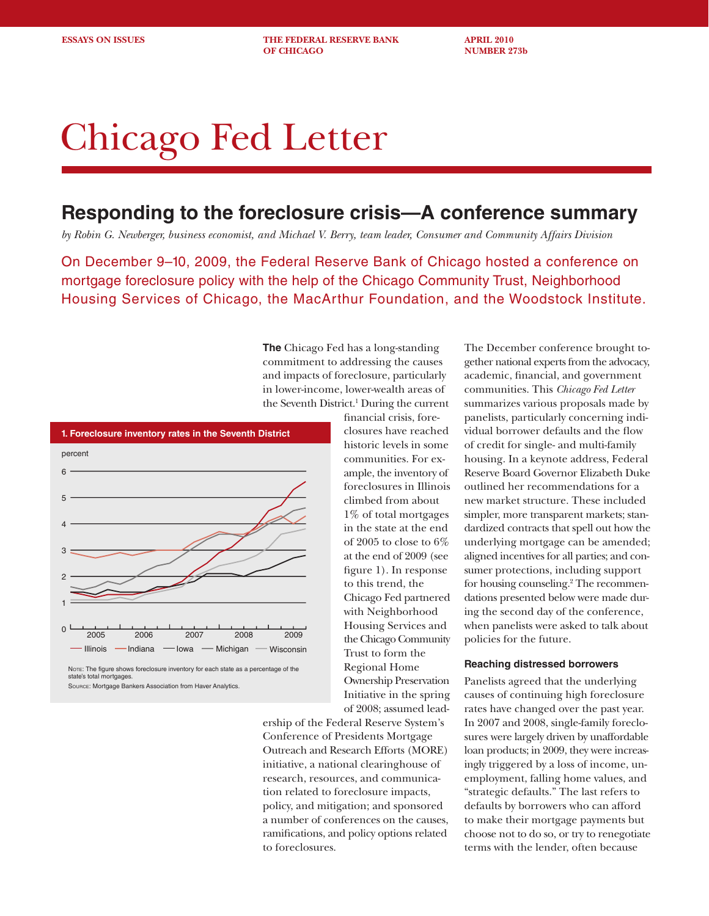**ESSAYS ON ISSUES THE FEDERAL RESERVE BANK APRIL 2010 OF CHICAGO NUMBER 273b** 

# Chicago Fed Letter

## **Responding to the foreclosure crisis—A conference summary**

*by Robin G. Newberger, business economist, and Michael V. Berry, team leader, Consumer and Community Affairs Division*

On December 9–10, 2009, the Federal Reserve Bank of Chicago hosted a conference on mortgage foreclosure policy with the help of the Chicago Community Trust, Neighborhood Housing Services of Chicago, the MacArthur Foundation, and the Woodstock Institute.

> **The** Chicago Fed has a long-standing commitment to addressing the causes and impacts of foreclosure, particularly in lower-income, lower-wealth areas of the Seventh District.<sup>1</sup> During the current



NOTE: The figure shows foreclosure inventory for each state as a percentage of the state's total mortgages. Source: Mortgage Bankers Association from Haver Analytics.

financial crisis, foreclosures have reached historic levels in some communities. For example, the inventory of foreclosures in Illinois climbed from about 1% of total mortgages in the state at the end of 2005 to close to 6% at the end of 2009 (see figure 1). In response to this trend, the Chicago Fed partnered with Neighborhood Housing Services and the Chicago Community Trust to form the Regional Home Ownership Preservation Initiative in the spring of 2008; assumed lead-

ership of the Federal Reserve System's Conference of Presidents Mortgage Outreach and Research Efforts (MORE) initiative, a national clearinghouse of research, resources, and communication related to foreclosure impacts, policy, and mitigation; and sponsored a number of conferences on the causes, ramifications, and policy options related to foreclosures.

The December conference brought together national experts from the advocacy, academic, financial, and government communities. This *Chicago Fed Letter* summarizes various proposals made by panelists, particularly concerning individual borrower defaults and the flow of credit for single- and multi-family housing. In a keynote address, Federal Reserve Board Governor Elizabeth Duke outlined her recommendations for a new market structure. These included simpler, more transparent markets; standardized contracts that spell out how the underlying mortgage can be amended; aligned incentives for all parties; and consumer protections, including support for housing counseling.2 The recommendations presented below were made during the second day of the conference, when panelists were asked to talk about policies for the future.

#### **Reaching distressed borrowers**

Panelists agreed that the underlying causes of continuing high foreclosure rates have changed over the past year. In 2007 and 2008, single-family foreclosures were largely driven by unaffordable loan products; in 2009, they were increasingly triggered by a loss of income, unemployment, falling home values, and "strategic defaults." The last refers to defaults by borrowers who can afford to make their mortgage payments but choose not to do so, or try to renegotiate terms with the lender, often because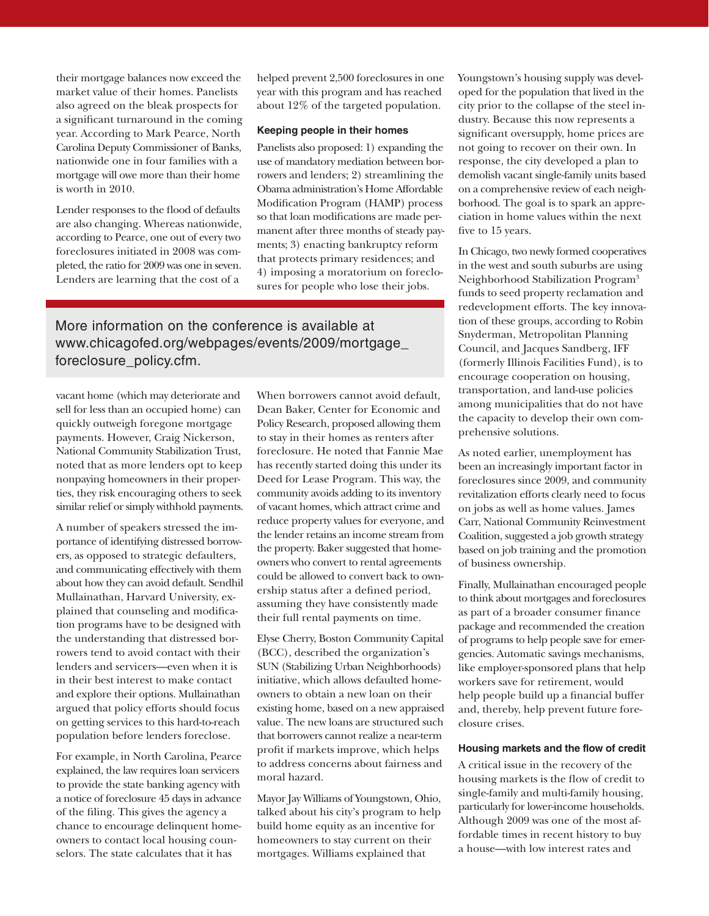their mortgage balances now exceed the market value of their homes. Panelists also agreed on the bleak prospects for a significant turnaround in the coming year. According to Mark Pearce, North Carolina Deputy Commissioner of Banks, nationwide one in four families with a mortgage will owe more than their home is worth in 2010.

Lender responses to the flood of defaults are also changing. Whereas nationwide, according to Pearce, one out of every two foreclosures initiated in 2008 was completed, the ratio for 2009 was one in seven. Lenders are learning that the cost of a

helped prevent 2,500 foreclosures in one year with this program and has reached about 12% of the targeted population.

#### **Keeping people in their homes**

Panelists also proposed: 1) expanding the use of mandatory mediation between borrowers and lenders; 2) streamlining the Obama administration's Home Affordable Modification Program (HAMP) process so that loan modifications are made permanent after three months of steady payments; 3) enacting bankruptcy reform that protects primary residences; and 4) imposing a moratorium on foreclosures for people who lose their jobs.

More information on the conference is available at www.chicagofed.org/webpages/events/2009/mortgage\_ foreclosure\_policy.cfm.

vacant home (which may deteriorate and sell for less than an occupied home) can quickly outweigh foregone mortgage payments. However, Craig Nickerson, National Community Stabilization Trust, noted that as more lenders opt to keep nonpaying homeowners in their properties, they risk encouraging others to seek similar relief or simply withhold payments.

A number of speakers stressed the importance of identifying distressed borrowers, as opposed to strategic defaulters, and communicating effectively with them about how they can avoid default. Sendhil Mullainathan, Harvard University, explained that counseling and modification programs have to be designed with the understanding that distressed borrowers tend to avoid contact with their lenders and servicers—even when it is in their best interest to make contact and explore their options. Mullainathan argued that policy efforts should focus on getting services to this hard-to-reach population before lenders foreclose.

For example, in North Carolina, Pearce explained, the law requires loan servicers to provide the state banking agency with a notice of foreclosure 45 days in advance of the filing. This gives the agency a chance to encourage delinquent homeowners to contact local housing counselors. The state calculates that it has

When borrowers cannot avoid default, Dean Baker, Center for Economic and Policy Research, proposed allowing them to stay in their homes as renters after foreclosure. He noted that Fannie Mae has recently started doing this under its Deed for Lease Program. This way, the community avoids adding to its inventory of vacant homes, which attract crime and reduce property values for everyone, and the lender retains an income stream from the property. Baker suggested that homeowners who convert to rental agreements could be allowed to convert back to ownership status after a defined period, assuming they have consistently made their full rental payments on time.

Elyse Cherry, Boston Community Capital (BCC), described the organization's SUN (Stabilizing Urban Neighborhoods) initiative, which allows defaulted homeowners to obtain a new loan on their existing home, based on a new appraised value. The new loans are structured such that borrowers cannot realize a near-term profit if markets improve, which helps to address concerns about fairness and moral hazard.

Mayor Jay Williams of Youngstown, Ohio, talked about his city's program to help build home equity as an incentive for homeowners to stay current on their mortgages. Williams explained that

Youngstown's housing supply was developed for the population that lived in the city prior to the collapse of the steel industry. Because this now represents a significant oversupply, home prices are not going to recover on their own. In response, the city developed a plan to demolish vacant single-family units based on a comprehensive review of each neighborhood. The goal is to spark an appreciation in home values within the next five to 15 years.

In Chicago, two newly formed cooperatives in the west and south suburbs are using Neighborhood Stabilization Program3 funds to seed property reclamation and redevelopment efforts. The key innovation of these groups, according to Robin Snyderman, Metropolitan Planning Council, and Jacques Sandberg, IFF (formerly Illinois Facilities Fund), is to encourage cooperation on housing, transportation, and land-use policies among municipalities that do not have the capacity to develop their own comprehensive solutions.

As noted earlier, unemployment has been an increasingly important factor in foreclosures since 2009, and community revitalization efforts clearly need to focus on jobs as well as home values. James Carr, National Community Reinvestment Coalition, suggested a job growth strategy based on job training and the promotion of business ownership.

Finally, Mullainathan encouraged people to think about mortgages and foreclosures as part of a broader consumer finance package and recommended the creation of programs to help people save for emergencies. Automatic savings mechanisms, like employer-sponsored plans that help workers save for retirement, would help people build up a financial buffer and, thereby, help prevent future foreclosure crises.

### **Housing markets and the flow of credit**

A critical issue in the recovery of the housing markets is the flow of credit to single-family and multi-family housing, particularly for lower-income households. Although 2009 was one of the most affordable times in recent history to buy a house—with low interest rates and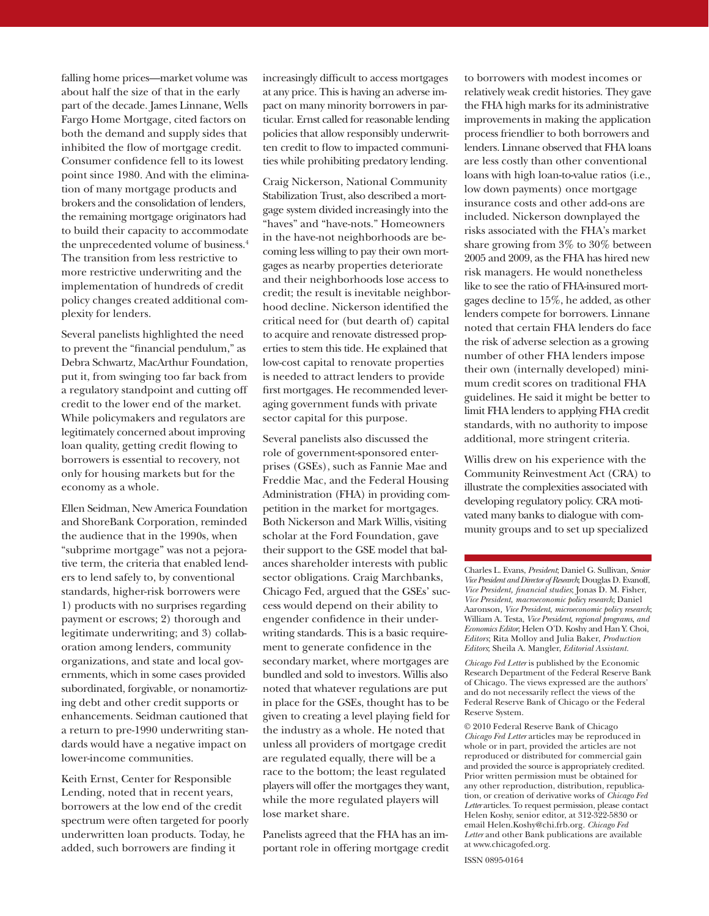falling home prices—market volume was about half the size of that in the early part of the decade. James Linnane, Wells Fargo Home Mortgage, cited factors on both the demand and supply sides that inhibited the flow of mortgage credit. Consumer confidence fell to its lowest point since 1980. And with the elimination of many mortgage products and brokers and the consolidation of lenders, the remaining mortgage originators had to build their capacity to accommodate the unprecedented volume of business.4 The transition from less restrictive to more restrictive underwriting and the implementation of hundreds of credit policy changes created additional complexity for lenders.

Several panelists highlighted the need to prevent the "financial pendulum," as Debra Schwartz, MacArthur Foundation, put it, from swinging too far back from a regulatory standpoint and cutting off credit to the lower end of the market. While policymakers and regulators are legitimately concerned about improving loan quality, getting credit flowing to borrowers is essential to recovery, not only for housing markets but for the economy as a whole.

Ellen Seidman, New America Foundation and ShoreBank Corporation, reminded the audience that in the 1990s, when "subprime mortgage" was not a pejorative term, the criteria that enabled lenders to lend safely to, by conventional standards, higher-risk borrowers were 1) products with no surprises regarding payment or escrows; 2) thorough and legitimate underwriting; and 3) collaboration among lenders, community organizations, and state and local governments, which in some cases provided subordinated, forgivable, or nonamortizing debt and other credit supports or enhancements. Seidman cautioned that a return to pre-1990 underwriting standards would have a negative impact on lower-income communities.

Keith Ernst, Center for Responsible Lending, noted that in recent years, borrowers at the low end of the credit spectrum were often targeted for poorly underwritten loan products. Today, he added, such borrowers are finding it

increasingly difficult to access mortgages at any price. This is having an adverse impact on many minority borrowers in particular. Ernst called for reasonable lending policies that allow responsibly underwritten credit to flow to impacted communities while prohibiting predatory lending.

Craig Nickerson, National Community Stabilization Trust, also described a mortgage system divided increasingly into the "haves" and "have-nots." Homeowners in the have-not neighborhoods are becoming less willing to pay their own mortgages as nearby properties deteriorate and their neighborhoods lose access to credit; the result is inevitable neighborhood decline. Nickerson identified the critical need for (but dearth of) capital to acquire and renovate distressed properties to stem this tide. He explained that low-cost capital to renovate properties is needed to attract lenders to provide first mortgages. He recommended leveraging government funds with private sector capital for this purpose.

Several panelists also discussed the role of government-sponsored enterprises (GSEs), such as Fannie Mae and Freddie Mac, and the Federal Housing Administration (FHA) in providing competition in the market for mortgages. Both Nickerson and Mark Willis, visiting scholar at the Ford Foundation, gave their support to the GSE model that balances shareholder interests with public sector obligations. Craig Marchbanks, Chicago Fed, argued that the GSEs' success would depend on their ability to engender confidence in their underwriting standards. This is a basic requirement to generate confidence in the secondary market, where mortgages are bundled and sold to investors. Willis also noted that whatever regulations are put in place for the GSEs, thought has to be given to creating a level playing field for the industry as a whole. He noted that unless all providers of mortgage credit are regulated equally, there will be a race to the bottom; the least regulated players will offer the mortgages they want, while the more regulated players will lose market share.

Panelists agreed that the FHA has an important role in offering mortgage credit

to borrowers with modest incomes or relatively weak credit histories. They gave the FHA high marks for its administrative improvements in making the application process friendlier to both borrowers and lenders. Linnane observed that FHA loans are less costly than other conventional loans with high loan-to-value ratios (i.e., low down payments) once mortgage insurance costs and other add-ons are included. Nickerson downplayed the risks associated with the FHA's market share growing from 3% to 30% between 2005 and 2009, as the FHA has hired new risk managers. He would nonetheless like to see the ratio of FHA-insured mortgages decline to 15%, he added, as other lenders compete for borrowers. Linnane noted that certain FHA lenders do face the risk of adverse selection as a growing number of other FHA lenders impose their own (internally developed) minimum credit scores on traditional FHA guidelines. He said it might be better to limit FHA lenders to applying FHA credit standards, with no authority to impose additional, more stringent criteria.

Willis drew on his experience with the Community Reinvestment Act (CRA) to illustrate the complexities associated with developing regulatory policy. CRA motivated many banks to dialogue with community groups and to set up specialized

Charles L. Evans, *President*; Daniel G. Sullivan, *Senior Vice President and Director of Research*; Douglas D. Evanoff, *Vice President, financial studies*; Jonas D. M. Fisher, *Vice President*, *macroeconomic policy research*; Daniel Aaronson*, Vice President*, *microeconomic policy research*; William A. Testa, *Vice President*, *regional programs*, *and Economics Editor*; Helen O'D. Koshy and Han Y. Choi, *Editors*; Rita Molloy and Julia Baker, *Production Editors*; Sheila A. Mangler, *Editorial Assistant.*

*Chicago Fed Letter* is published by the Economic Research Department of the Federal Reserve Bank of Chicago. The views expressed are the authors' and do not necessarily reflect the views of the Federal Reserve Bank of Chicago or the Federal Reserve System.

© 2010 Federal Reserve Bank of Chicago *Chicago Fed Letter* articles may be reproduced in whole or in part, provided the articles are not reproduced or distributed for commercial gain and provided the source is appropriately credited. Prior written permission must be obtained for any other reproduction, distribution, republication, or creation of derivative works of *Chicago Fed Letter* articles. To request permission, please contact Helen Koshy, senior editor, at 312-322-5830 or email Helen.Koshy@chi.frb.org. *Chicago Fed Letter* and other Bank publications are available at www.chicagofed.org.

ISSN 0895-0164